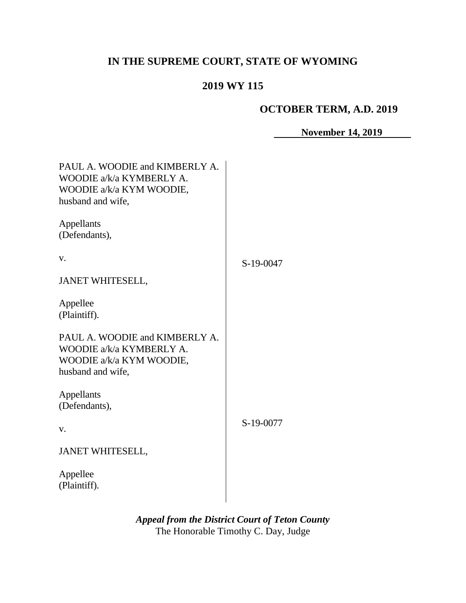# **IN THE SUPREME COURT, STATE OF WYOMING**

## **2019 WY 115**

## **OCTOBER TERM, A.D. 2019**

**November 14, 2019**

| PAUL A. WOODIE and KIMBERLY A.<br>WOODIE a/k/a KYMBERLY A.<br>WOODIE a/k/a KYM WOODIE,<br>husband and wife, |           |
|-------------------------------------------------------------------------------------------------------------|-----------|
| Appellants<br>(Defendants),                                                                                 |           |
| V.                                                                                                          | S-19-0047 |
| <b>JANET WHITESELL,</b>                                                                                     |           |
| Appellee<br>(Plaintiff).                                                                                    |           |
| PAUL A. WOODIE and KIMBERLY A.<br>WOODIE a/k/a KYMBERLY A.<br>WOODIE a/k/a KYM WOODIE,<br>husband and wife, |           |
| Appellants<br>(Defendants),                                                                                 |           |
| V.                                                                                                          | S-19-0077 |
| <b>JANET WHITESELL,</b>                                                                                     |           |
| Appellee<br>(Plaintiff).                                                                                    |           |

*Appeal from the District Court of Teton County* The Honorable Timothy C. Day, Judge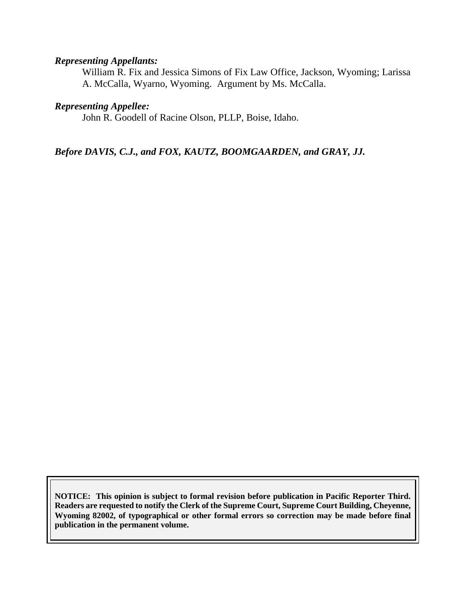#### *Representing Appellants:*

William R. Fix and Jessica Simons of Fix Law Office, Jackson, Wyoming; Larissa A. McCalla, Wyarno, Wyoming. Argument by Ms. McCalla.

#### *Representing Appellee:*

John R. Goodell of Racine Olson, PLLP, Boise, Idaho.

*Before DAVIS, C.J., and FOX, KAUTZ, BOOMGAARDEN, and GRAY, JJ.*

**NOTICE: This opinion is subject to formal revision before publication in Pacific Reporter Third. Readers are requested to notify the Clerk of the Supreme Court, Supreme Court Building, Cheyenne, Wyoming 82002, of typographical or other formal errors so correction may be made before final publication in the permanent volume.**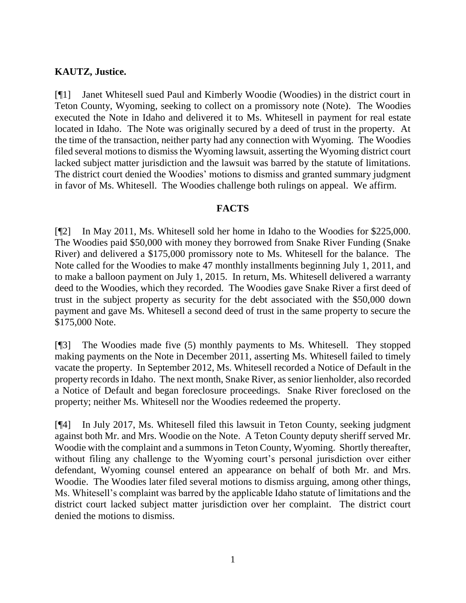#### **KAUTZ, Justice.**

[¶1] Janet Whitesell sued Paul and Kimberly Woodie (Woodies) in the district court in Teton County, Wyoming, seeking to collect on a promissory note (Note). The Woodies executed the Note in Idaho and delivered it to Ms. Whitesell in payment for real estate located in Idaho. The Note was originally secured by a deed of trust in the property. At the time of the transaction, neither party had any connection with Wyoming. The Woodies filed several motions to dismiss the Wyoming lawsuit, asserting the Wyoming district court lacked subject matter jurisdiction and the lawsuit was barred by the statute of limitations. The district court denied the Woodies' motions to dismiss and granted summary judgment in favor of Ms. Whitesell. The Woodies challenge both rulings on appeal. We affirm.

#### **FACTS**

[¶2] In May 2011, Ms. Whitesell sold her home in Idaho to the Woodies for \$225,000. The Woodies paid \$50,000 with money they borrowed from Snake River Funding (Snake River) and delivered a \$175,000 promissory note to Ms. Whitesell for the balance. The Note called for the Woodies to make 47 monthly installments beginning July 1, 2011, and to make a balloon payment on July 1, 2015. In return, Ms. Whitesell delivered a warranty deed to the Woodies, which they recorded. The Woodies gave Snake River a first deed of trust in the subject property as security for the debt associated with the \$50,000 down payment and gave Ms. Whitesell a second deed of trust in the same property to secure the \$175,000 Note.

[¶3] The Woodies made five (5) monthly payments to Ms. Whitesell. They stopped making payments on the Note in December 2011, asserting Ms. Whitesell failed to timely vacate the property. In September 2012, Ms. Whitesell recorded a Notice of Default in the property records in Idaho. The next month, Snake River, as senior lienholder, also recorded a Notice of Default and began foreclosure proceedings. Snake River foreclosed on the property; neither Ms. Whitesell nor the Woodies redeemed the property.

[¶4] In July 2017, Ms. Whitesell filed this lawsuit in Teton County, seeking judgment against both Mr. and Mrs. Woodie on the Note. A Teton County deputy sheriff served Mr. Woodie with the complaint and a summons in Teton County, Wyoming. Shortly thereafter, without filing any challenge to the Wyoming court's personal jurisdiction over either defendant, Wyoming counsel entered an appearance on behalf of both Mr. and Mrs. Woodie. The Woodies later filed several motions to dismiss arguing, among other things, Ms. Whitesell's complaint was barred by the applicable Idaho statute of limitations and the district court lacked subject matter jurisdiction over her complaint. The district court denied the motions to dismiss.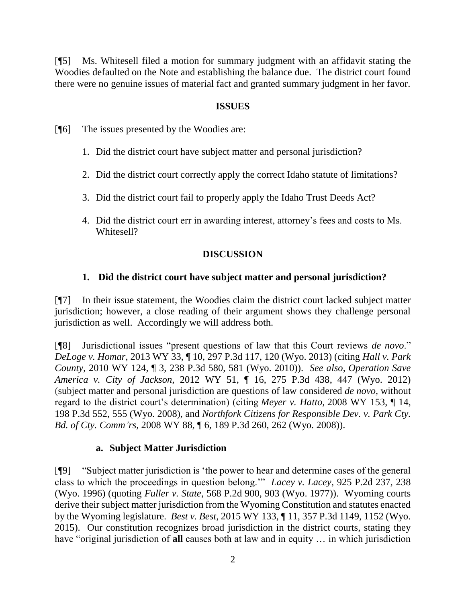[¶5] Ms. Whitesell filed a motion for summary judgment with an affidavit stating the Woodies defaulted on the Note and establishing the balance due. The district court found there were no genuine issues of material fact and granted summary judgment in her favor.

#### **ISSUES**

[¶6] The issues presented by the Woodies are:

- 1. Did the district court have subject matter and personal jurisdiction?
- 2. Did the district court correctly apply the correct Idaho statute of limitations?
- 3. Did the district court fail to properly apply the Idaho Trust Deeds Act?
- 4. Did the district court err in awarding interest, attorney's fees and costs to Ms. Whitesell?

#### **DISCUSSION**

#### **1. Did the district court have subject matter and personal jurisdiction?**

[¶7] In their issue statement, the Woodies claim the district court lacked subject matter jurisdiction; however, a close reading of their argument shows they challenge personal jurisdiction as well. Accordingly we will address both.

[¶8] Jurisdictional issues "present questions of law that this Court reviews *de novo*." *DeLoge v. Homar*, 2013 WY 33, ¶ 10, 297 P.3d 117, 120 (Wyo. 2013) (citing *Hall v. Park County*, 2010 WY 124, ¶ 3, 238 P.3d 580, 581 (Wyo. 2010)). *See also, Operation Save America v. City of Jackson,* 2012 WY 51, ¶ 16, 275 P.3d 438, 447 (Wyo. 2012) (subject matter and personal jurisdiction are questions of law considered *de novo,* without regard to the district court's determination) (citing *Meyer v. Hatto,* 2008 WY 153, ¶ 14, 198 P.3d 552, 555 (Wyo. 2008), and *Northfork Citizens for Responsible Dev. v. Park Cty. Bd. of Cty. Comm'rs,* 2008 WY 88, ¶ 6, 189 P.3d 260, 262 (Wyo. 2008)).

#### **a. Subject Matter Jurisdiction**

[¶9] "Subject matter jurisdiction is 'the power to hear and determine cases of the general class to which the proceedings in question belong.'" *Lacey v. Lacey*, 925 P.2d 237, 238 (Wyo. 1996) (quoting *Fuller v. State*, 568 P.2d 900, 903 (Wyo. 1977)). Wyoming courts derive their subject matter jurisdiction from the Wyoming Constitution and statutes enacted by the Wyoming legislature. *Best v. Best*, 2015 WY 133, ¶ 11, 357 P.3d 1149, 1152 (Wyo. 2015). Our constitution recognizes broad jurisdiction in the district courts, stating they have "original jurisdiction of **all** causes both at law and in equity … in which jurisdiction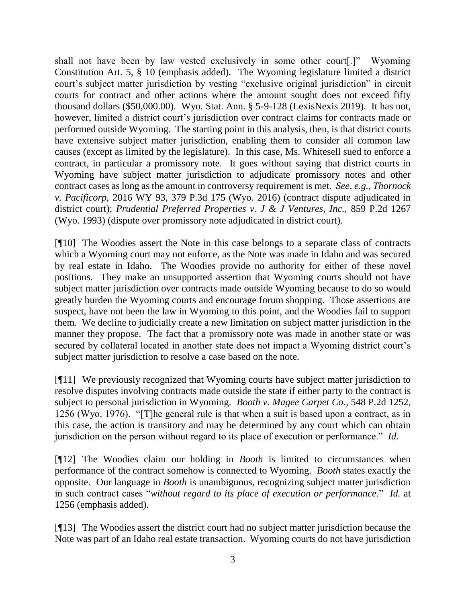shall not have been by law vested exclusively in some other court[.]" Wyoming Constitution Art. 5, § 10 (emphasis added). The Wyoming legislature limited a district court's subject matter jurisdiction by vesting "exclusive original jurisdiction" in circuit courts for contract and other actions where the amount sought does not exceed fifty thousand dollars (\$50,000.00). Wyo. Stat. Ann. § 5-9-128 (LexisNexis 2019). It has not, however, limited a district court's jurisdiction over contract claims for contracts made or performed outside Wyoming. The starting point in this analysis, then, is that district courts have extensive subject matter jurisdiction, enabling them to consider all common law causes (except as limited by the legislature). In this case, Ms. Whitesell sued to enforce a contract, in particular a promissory note. It goes without saying that district courts in Wyoming have subject matter jurisdiction to adjudicate promissory notes and other contract cases as long as the amount in controversy requirement is met. *See, e.g.*, *Thornock v. Pacificorp,* 2016 WY 93, 379 P.3d 175 (Wyo. 2016) (contract dispute adjudicated in district court); *Prudential Preferred Properties v. J & J Ventures, Inc.,* 859 P.2d 1267 (Wyo. 1993) (dispute over promissory note adjudicated in district court).

[¶10] The Woodies assert the Note in this case belongs to a separate class of contracts which a Wyoming court may not enforce, as the Note was made in Idaho and was secured by real estate in Idaho. The Woodies provide no authority for either of these novel positions. They make an unsupported assertion that Wyoming courts should not have subject matter jurisdiction over contracts made outside Wyoming because to do so would greatly burden the Wyoming courts and encourage forum shopping. Those assertions are suspect, have not been the law in Wyoming to this point, and the Woodies fail to support them. We decline to judicially create a new limitation on subject matter jurisdiction in the manner they propose. The fact that a promissory note was made in another state or was secured by collateral located in another state does not impact a Wyoming district court's subject matter jurisdiction to resolve a case based on the note.

[¶11] We previously recognized that Wyoming courts have subject matter jurisdiction to resolve disputes involving contracts made outside the state if either party to the contract is subject to personal jurisdiction in Wyoming. *Booth v. Magee Carpet Co.*, 548 P.2d 1252, 1256 (Wyo. 1976). "[T]he general rule is that when a suit is based upon a contract, as in this case, the action is transitory and may be determined by any court which can obtain jurisdiction on the person without regard to its place of execution or performance." *Id.*

[¶12] The Woodies claim our holding in *Booth* is limited to circumstances when performance of the contract somehow is connected to Wyoming. *Booth* states exactly the opposite. Our language in *Booth* is unambiguous, recognizing subject matter jurisdiction in such contract cases "*without regard to its place of execution or performance*." *Id.* at 1256 (emphasis added).

[¶13] The Woodies assert the district court had no subject matter jurisdiction because the Note was part of an Idaho real estate transaction. Wyoming courts do not have jurisdiction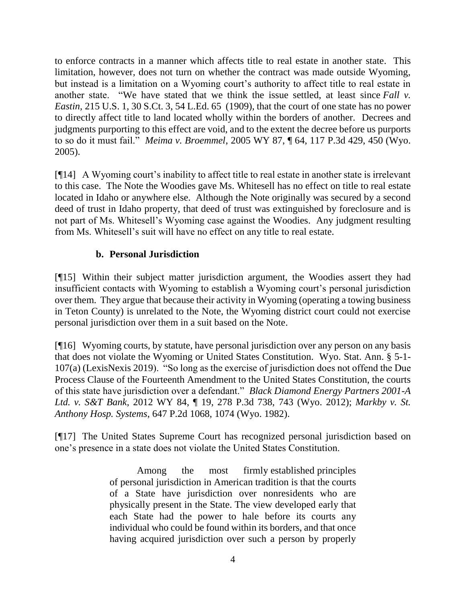to enforce contracts in a manner which affects title to real estate in another state. This limitation, however, does not turn on whether the contract was made outside Wyoming, but instead is a limitation on a Wyoming court's authority to affect title to real estate in another state. "We have stated that we think the issue settled, at least since *Fall v. Eastin,* 215 U.S. 1, 30 S.Ct. 3, 54 L.Ed. 65 (1909), that the court of one state has no power to directly affect title to land located wholly within the borders of another. Decrees and judgments purporting to this effect are void, and to the extent the decree before us purports to so do it must fail." *Meima v. Broemmel*, 2005 WY 87, ¶ 64, 117 P.3d 429, 450 (Wyo. 2005).

[¶14] A Wyoming court's inability to affect title to real estate in another state is irrelevant to this case. The Note the Woodies gave Ms. Whitesell has no effect on title to real estate located in Idaho or anywhere else. Although the Note originally was secured by a second deed of trust in Idaho property, that deed of trust was extinguished by foreclosure and is not part of Ms. Whitesell's Wyoming case against the Woodies. Any judgment resulting from Ms. Whitesell's suit will have no effect on any title to real estate.

#### **b. Personal Jurisdiction**

[¶15] Within their subject matter jurisdiction argument, the Woodies assert they had insufficient contacts with Wyoming to establish a Wyoming court's personal jurisdiction over them. They argue that because their activity in Wyoming (operating a towing business in Teton County) is unrelated to the Note, the Wyoming district court could not exercise personal jurisdiction over them in a suit based on the Note.

[¶16] Wyoming courts, by statute, have personal jurisdiction over any person on any basis that does not violate the Wyoming or United States Constitution. Wyo. Stat. Ann. § 5-1- 107(a) (LexisNexis 2019). "So long as the exercise of jurisdiction does not offend the Due Process Clause of the Fourteenth Amendment to the United States Constitution, the courts of this state have jurisdiction over a defendant." *Black Diamond Energy Partners 2001-A Ltd. v. S&T Bank*, 2012 WY 84, ¶ 19, 278 P.3d 738, 743 (Wyo. 2012); *Markby v. St. Anthony Hosp. Systems*, 647 P.2d 1068, 1074 (Wyo. 1982).

[¶17] The United States Supreme Court has recognized personal jurisdiction based on one's presence in a state does not violate the United States Constitution.

> Among the most firmly established principles of personal jurisdiction in American tradition is that the courts of a State have jurisdiction over nonresidents who are physically present in the State. The view developed early that each State had the power to hale before its courts any individual who could be found within its borders, and that once having acquired jurisdiction over such a person by properly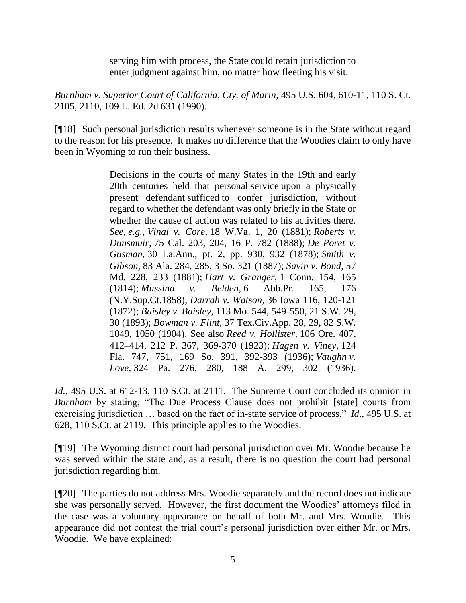serving him with process, the State could retain jurisdiction to enter judgment against him, no matter how fleeting his visit.

*Burnham v. Superior Court of California, Cty. of Marin*, 495 U.S. 604, 610-11, 110 S. Ct. 2105, 2110, 109 L. Ed. 2d 631 (1990).

[¶18] Such personal jurisdiction results whenever someone is in the State without regard to the reason for his presence. It makes no difference that the Woodies claim to only have been in Wyoming to run their business.

> Decisions in the courts of many States in the 19th and early 20th centuries held that personal service upon a physically present defendant sufficed to confer jurisdiction, without regard to whether the defendant was only briefly in the State or whether the cause of action was related to his activities there. *See, e.g., Vinal v. Core,* 18 W.Va. 1, 20 (1881); *Roberts v. Dunsmuir,* 75 Cal. 203, 204, 16 P. 782 (1888); *De Poret v. Gusman,* 30 La.Ann., pt. 2, pp. 930, 932 (1878); *Smith v. Gibson,* 83 Ala. 284, 285, 3 So. 321 (1887); *Savin v. Bond,* 57 Md. 228, 233 (1881); *Hart v. Granger,* 1 Conn. 154, 165 (1814); *Mussina v. Belden,* 6 Abb.Pr. 165, 176 (N.Y.Sup.Ct.1858); *Darrah v. Watson,* 36 Iowa 116, 120-121 (1872); *Baisley v. Baisley,* 113 Mo. 544, 549-550, 21 S.W. 29, 30 (1893); *Bowman v. Flint,* 37 Tex.Civ.App. 28, 29, 82 S.W. 1049, 1050 (1904). See also *Reed v. Hollister,* 106 Ore. 407, 412–414, 212 P. 367, 369-370 (1923); *Hagen v. Viney,* 124 Fla. 747, 751, 169 So. 391, 392-393 (1936); *Vaughn v. Love,* 324 Pa. 276, 280, 188 A. 299, 302 (1936).

*Id.*, 495 U.S. at 612-13, 110 S.Ct. at 2111. The Supreme Court concluded its opinion in *Burnham* by stating, "The Due Process Clause does not prohibit [state] courts from exercising jurisdiction … based on the fact of in-state service of process." *Id*., 495 U.S. at 628, 110 S.Ct. at 2119. This principle applies to the Woodies.

[¶19] The Wyoming district court had personal jurisdiction over Mr. Woodie because he was served within the state and, as a result, there is no question the court had personal jurisdiction regarding him.

[¶20] The parties do not address Mrs. Woodie separately and the record does not indicate she was personally served. However, the first document the Woodies' attorneys filed in the case was a voluntary appearance on behalf of both Mr. and Mrs. Woodie. This appearance did not contest the trial court's personal jurisdiction over either Mr. or Mrs. Woodie. We have explained: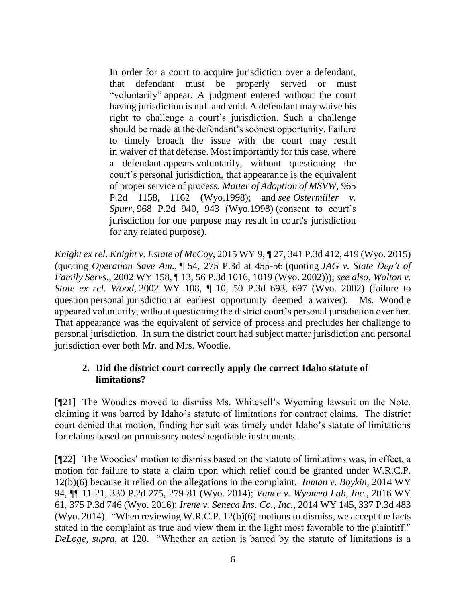In order for a court to acquire jurisdiction over a defendant, that defendant must be properly served or must "voluntarily" appear. A judgment entered without the court having jurisdiction is null and void. A defendant may waive his right to challenge a court's jurisdiction. Such a challenge should be made at the defendant's soonest opportunity. Failure to timely broach the issue with the court may result in waiver of that defense. Most importantly for this case, where a defendant appears voluntarily, without questioning the court's personal jurisdiction, that appearance is the equivalent of proper service of process. *Matter of Adoption of MSVW,* 965 P.2d 1158, 1162 (Wyo.1998); and *see [Ostermiller](https://1.next.westlaw.com/Link/Document/FullText?findType=Y&serNum=1998247560&pubNum=0000661&originatingDoc=I1b16870f9c4311e49488c8f438320c70&refType=RP&fi=co_pp_sp_661_943&originationContext=document&transitionType=DocumentItem&contextData=(sc.Search)#co_pp_sp_661_943) v. Spurr,* 968 P.2d 940, 943 [\(Wyo.1998\)](https://1.next.westlaw.com/Link/Document/FullText?findType=Y&serNum=1998247560&pubNum=0000661&originatingDoc=I1b16870f9c4311e49488c8f438320c70&refType=RP&fi=co_pp_sp_661_943&originationContext=document&transitionType=DocumentItem&contextData=(sc.Search)#co_pp_sp_661_943) (consent to court's jurisdiction for one purpose may result in court's jurisdiction for any related purpose).

*Knight ex rel. Knight v. Estate of McCoy*, 2015 WY 9, ¶ 27, 341 P.3d 412, 419 (Wyo. 2015) (quoting *[Operation](https://1.next.westlaw.com/Link/Document/FullText?findType=Y&serNum=2027469609&pubNum=0004645&originatingDoc=I1b16870f9c4311e49488c8f438320c70&refType=RP&fi=co_pp_sp_4645_455&originationContext=document&transitionType=DocumentItem&contextData=(sc.Search)#co_pp_sp_4645_455) Save Am.,* ¶ 54, 275 P.3d at 455-56 (quoting *JAG v. State [Dep't](https://1.next.westlaw.com/Link/Document/FullText?findType=Y&serNum=2002664650&pubNum=0004645&originatingDoc=I1b16870f9c4311e49488c8f438320c70&refType=RP&fi=co_pp_sp_4645_1019&originationContext=document&transitionType=DocumentItem&contextData=(sc.Search)#co_pp_sp_4645_1019) of [Family](https://1.next.westlaw.com/Link/Document/FullText?findType=Y&serNum=2002664650&pubNum=0004645&originatingDoc=I1b16870f9c4311e49488c8f438320c70&refType=RP&fi=co_pp_sp_4645_1019&originationContext=document&transitionType=DocumentItem&contextData=(sc.Search)#co_pp_sp_4645_1019) Servs.,* 2002 WY 158, ¶ 13, 56 P.3d 1016, 1019 (Wyo. 2002))); *see also, [Walton](https://1.next.westlaw.com/Link/Document/FullText?findType=Y&serNum=2002433613&pubNum=0004645&originatingDoc=I1b16870f9c4311e49488c8f438320c70&refType=RP&fi=co_pp_sp_4645_697&originationContext=document&transitionType=DocumentItem&contextData=(sc.Search)#co_pp_sp_4645_697) v. State ex rel. [Wood,](https://1.next.westlaw.com/Link/Document/FullText?findType=Y&serNum=2002433613&pubNum=0004645&originatingDoc=I1b16870f9c4311e49488c8f438320c70&refType=RP&fi=co_pp_sp_4645_697&originationContext=document&transitionType=DocumentItem&contextData=(sc.Search)#co_pp_sp_4645_697)* 2002 WY 108, ¶ 10, 50 P.3d 693, 697 (Wyo. 2002) (failure to question personal jurisdiction at earliest opportunity deemed a waiver). Ms. Woodie appeared voluntarily, without questioning the district court's personal jurisdiction over her. That appearance was the equivalent of service of process and precludes her challenge to personal jurisdiction. In sum the district court had subject matter jurisdiction and personal jurisdiction over both Mr. and Mrs. Woodie.

#### **2. Did the district court correctly apply the correct Idaho statute of limitations?**

[¶21] The Woodies moved to dismiss Ms. Whitesell's Wyoming lawsuit on the Note, claiming it was barred by Idaho's statute of limitations for contract claims. The district court denied that motion, finding her suit was timely under Idaho's statute of limitations for claims based on promissory notes/negotiable instruments.

[¶22] The Woodies' motion to dismiss based on the statute of limitations was, in effect, a motion for failure to state a claim upon which relief could be granted under W.R.C.P. 12(b)(6) because it relied on the allegations in the complaint. *Inman v. Boykin,* 2014 WY 94, ¶¶ 11-21, 330 P.2d 275, 279-81 (Wyo. 2014); *Vance v. Wyomed Lab, Inc.,* 2016 WY 61, 375 P.3d 746 (Wyo. 2016); *Irene v. Seneca Ins. Co., Inc.,* 2014 WY 145, 337 P.3d 483 (Wyo. 2014). "When reviewing W.R.C.P. 12(b)(6) motions to dismiss, we accept the facts stated in the complaint as true and view them in the light most favorable to the plaintiff." *DeLoge, supra,* at 120. "Whether an action is barred by the statute of limitations is a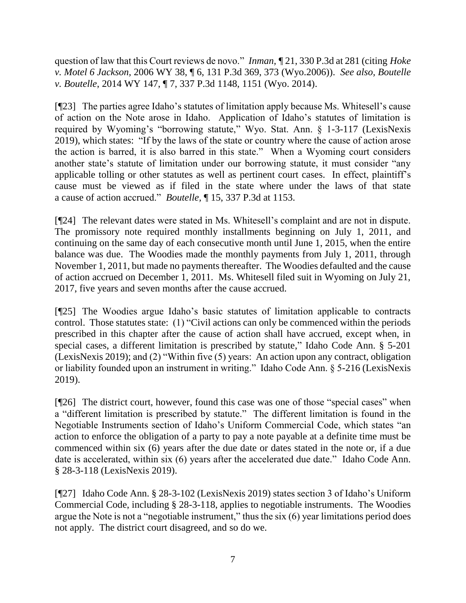question of law that this Court reviews de novo." *Inman,* ¶ 21, 330 P.3d at 281 (citing *Hoke v. Motel 6 Jackson,* 2006 WY 38, ¶ 6, 131 P.3d 369, 373 (Wyo.2006)). *See also, Boutelle v. Boutelle*, 2014 WY 147, ¶ 7, 337 P.3d 1148, 1151 (Wyo. 2014).

[¶23] The parties agree Idaho's statutes of limitation apply because Ms. Whitesell's cause of action on the Note arose in Idaho. Application of Idaho's statutes of limitation is required by Wyoming's "borrowing statute," Wyo. Stat. Ann. § 1-3-117 (LexisNexis 2019), which states: "If by the laws of the state or country where the cause of action arose the action is barred, it is also barred in this state." When a Wyoming court considers another state's statute of limitation under our borrowing statute, it must consider "any applicable tolling or other statutes as well as pertinent court cases. In effect, plaintiff's cause must be viewed as if filed in the state where under the laws of that state a cause of action accrued." *Boutelle,* ¶ 15, 337 P.3d at 1153.

[¶24] The relevant dates were stated in Ms. Whitesell's complaint and are not in dispute. The promissory note required monthly installments beginning on July 1, 2011, and continuing on the same day of each consecutive month until June 1, 2015, when the entire balance was due. The Woodies made the monthly payments from July 1, 2011, through November 1, 2011, but made no payments thereafter. The Woodies defaulted and the cause of action accrued on December 1, 2011. Ms. Whitesell filed suit in Wyoming on July 21, 2017, five years and seven months after the cause accrued.

[¶25] The Woodies argue Idaho's basic statutes of limitation applicable to contracts control. Those statutes state: (1) "Civil actions can only be commenced within the periods prescribed in this chapter after the cause of action shall have accrued, except when, in special cases, a different limitation is prescribed by statute," Idaho Code Ann. § 5-201 (LexisNexis 2019); and (2) "Within five (5) years: An action upon any contract, obligation or liability founded upon an instrument in writing." Idaho Code Ann. § 5-216 (LexisNexis 2019).

[¶26] The district court, however, found this case was one of those "special cases" when a "different limitation is prescribed by statute." The different limitation is found in the Negotiable Instruments section of Idaho's Uniform Commercial Code, which states "an action to enforce the obligation of a party to pay a note payable at a definite time must be commenced within six (6) years after the due date or dates stated in the note or, if a due date is accelerated, within six (6) years after the accelerated due date." Idaho Code Ann. § 28-3-118 (LexisNexis 2019).

[¶27] Idaho Code Ann. § 28-3-102 (LexisNexis 2019) states section 3 of Idaho's Uniform Commercial Code, including § 28-3-118, applies to negotiable instruments. The Woodies argue the Note is not a "negotiable instrument," thus the six (6) year limitations period does not apply. The district court disagreed, and so do we.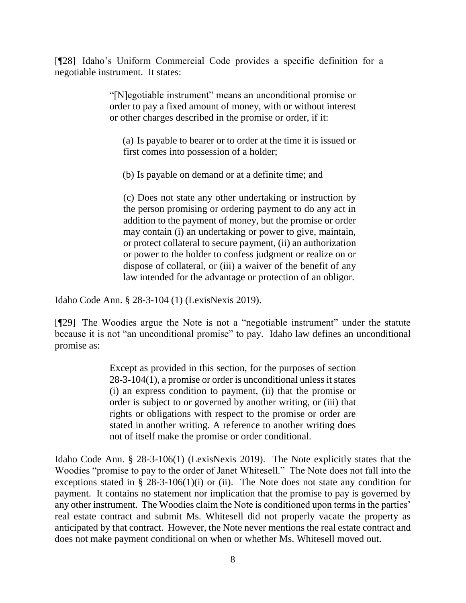[¶28] Idaho's Uniform Commercial Code provides a specific definition for a negotiable instrument. It states:

> "[N]egotiable instrument" means an unconditional promise or order to pay a fixed amount of money, with or without interest or other charges described in the promise or order, if it:

(a) Is payable to bearer or to order at the time it is issued or first comes into possession of a holder;

(b) Is payable on demand or at a definite time; and

(c) Does not state any other undertaking or instruction by the person promising or ordering payment to do any act in addition to the payment of money, but the promise or order may contain (i) an undertaking or power to give, maintain, or protect collateral to secure payment, (ii) an authorization or power to the holder to confess judgment or realize on or dispose of collateral, or (iii) a waiver of the benefit of any law intended for the advantage or protection of an obligor.

Idaho Code Ann. § 28-3-104 (1) (LexisNexis 2019).

[¶29] The Woodies argue the Note is not a "negotiable instrument" under the statute because it is not "an unconditional promise" to pay. Idaho law defines an unconditional promise as:

> Except as provided in this section, for the purposes of section 28-3-104(1), a promise or order is unconditional unless it states (i) an express condition to payment, (ii) that the promise or order is subject to or governed by another writing, or (iii) that rights or obligations with respect to the promise or order are stated in another writing. A reference to another writing does not of itself make the promise or order conditional.

Idaho Code Ann. § 28-3-106(1) (LexisNexis 2019). The Note explicitly states that the Woodies "promise to pay to the order of Janet Whitesell." The Note does not fall into the exceptions stated in  $\S$  28-3-106(1)(i) or (ii). The Note does not state any condition for payment. It contains no statement nor implication that the promise to pay is governed by any other instrument. The Woodies claim the Note is conditioned upon terms in the parties' real estate contract and submit Ms. Whitesell did not properly vacate the property as anticipated by that contract. However, the Note never mentions the real estate contract and does not make payment conditional on when or whether Ms. Whitesell moved out.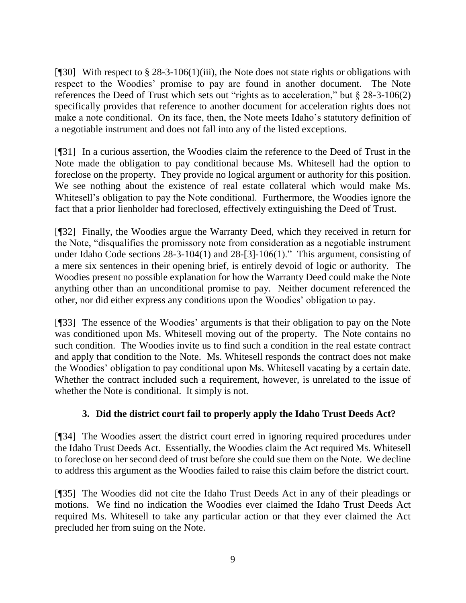[¶30] With respect to § 28-3-106(1)(iii), the Note does not state rights or obligations with respect to the Woodies' promise to pay are found in another document. The Note references the Deed of Trust which sets out "rights as to acceleration," but § 28-3-106(2) specifically provides that reference to another document for acceleration rights does not make a note conditional. On its face, then, the Note meets Idaho's statutory definition of a negotiable instrument and does not fall into any of the listed exceptions.

[¶31] In a curious assertion, the Woodies claim the reference to the Deed of Trust in the Note made the obligation to pay conditional because Ms. Whitesell had the option to foreclose on the property. They provide no logical argument or authority for this position. We see nothing about the existence of real estate collateral which would make Ms. Whitesell's obligation to pay the Note conditional. Furthermore, the Woodies ignore the fact that a prior lienholder had foreclosed, effectively extinguishing the Deed of Trust.

[¶32] Finally, the Woodies argue the Warranty Deed, which they received in return for the Note, "disqualifies the promissory note from consideration as a negotiable instrument under Idaho Code sections 28-3-104(1) and 28-[3]-106(1)." This argument, consisting of a mere six sentences in their opening brief, is entirely devoid of logic or authority. The Woodies present no possible explanation for how the Warranty Deed could make the Note anything other than an unconditional promise to pay. Neither document referenced the other, nor did either express any conditions upon the Woodies' obligation to pay.

[¶33] The essence of the Woodies' arguments is that their obligation to pay on the Note was conditioned upon Ms. Whitesell moving out of the property. The Note contains no such condition. The Woodies invite us to find such a condition in the real estate contract and apply that condition to the Note. Ms. Whitesell responds the contract does not make the Woodies' obligation to pay conditional upon Ms. Whitesell vacating by a certain date. Whether the contract included such a requirement, however, is unrelated to the issue of whether the Note is conditional. It simply is not.

### **3. Did the district court fail to properly apply the Idaho Trust Deeds Act?**

[¶34] The Woodies assert the district court erred in ignoring required procedures under the Idaho Trust Deeds Act. Essentially, the Woodies claim the Act required Ms. Whitesell to foreclose on her second deed of trust before she could sue them on the Note. We decline to address this argument as the Woodies failed to raise this claim before the district court.

[¶35] The Woodies did not cite the Idaho Trust Deeds Act in any of their pleadings or motions. We find no indication the Woodies ever claimed the Idaho Trust Deeds Act required Ms. Whitesell to take any particular action or that they ever claimed the Act precluded her from suing on the Note.